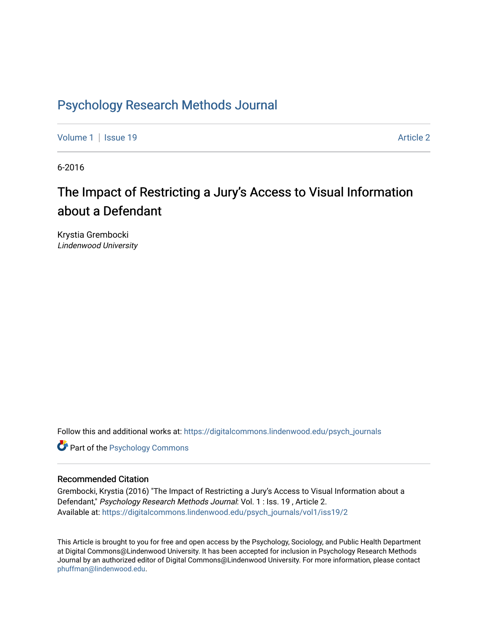### [Psychology Research Methods Journal](https://digitalcommons.lindenwood.edu/psych_journals)

[Volume 1](https://digitalcommons.lindenwood.edu/psych_journals/vol1) | [Issue 19](https://digitalcommons.lindenwood.edu/psych_journals/vol1/iss19) Article 2

6-2016

## The Impact of Restricting a Jury's Access to Visual Information about a Defendant

Krystia Grembocki Lindenwood University

Follow this and additional works at: [https://digitalcommons.lindenwood.edu/psych\\_journals](https://digitalcommons.lindenwood.edu/psych_journals?utm_source=digitalcommons.lindenwood.edu%2Fpsych_journals%2Fvol1%2Fiss19%2F2&utm_medium=PDF&utm_campaign=PDFCoverPages) 

**Part of the Psychology Commons** 

#### Recommended Citation

Grembocki, Krystia (2016) "The Impact of Restricting a Jury's Access to Visual Information about a Defendant," Psychology Research Methods Journal: Vol. 1 : Iss. 19, Article 2. Available at: [https://digitalcommons.lindenwood.edu/psych\\_journals/vol1/iss19/2](https://digitalcommons.lindenwood.edu/psych_journals/vol1/iss19/2?utm_source=digitalcommons.lindenwood.edu%2Fpsych_journals%2Fvol1%2Fiss19%2F2&utm_medium=PDF&utm_campaign=PDFCoverPages) 

This Article is brought to you for free and open access by the Psychology, Sociology, and Public Health Department at Digital Commons@Lindenwood University. It has been accepted for inclusion in Psychology Research Methods Journal by an authorized editor of Digital Commons@Lindenwood University. For more information, please contact [phuffman@lindenwood.edu](mailto:phuffman@lindenwood.edu).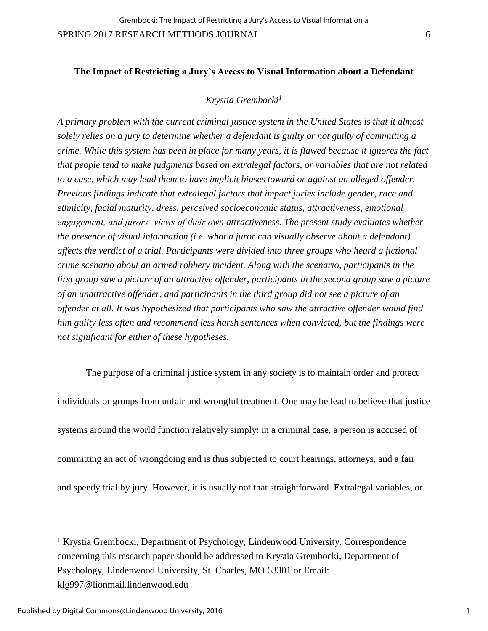#### **The Impact of Restricting a Jury's Access to Visual Information about a Defendant**

#### *Krystia Grembocki<sup>1</sup>*

*A primary problem with the current criminal justice system in the United States is that it almost solely relies on a jury to determine whether a defendant is guilty or not guilty of committing a crime. While this system has been in place for many years, it is flawed because it ignores the fact that people tend to make judgments based on extralegal factors, or variables that are not related to a case, which may lead them to have implicit biases toward or against an alleged offender. Previous findings indicate that extralegal factors that impact juries include gender, race and ethnicity, facial maturity, dress, perceived socioeconomic status, attractiveness, emotional engagement, and jurors' views of their own attractiveness. The present study evaluates whether the presence of visual information (i.e. what a juror can visually observe about a defendant) affects the verdict of a trial. Participants were divided into three groups who heard a fictional crime scenario about an armed robbery incident. Along with the scenario, participants in the first group saw a picture of an attractive offender, participants in the second group saw a picture of an unattractive offender, and participants in the third group did not see a picture of an offender at all. It was hypothesized that participants who saw the attractive offender would find him guilty less often and recommend less harsh sentences when convicted, but the findings were not significant for either of these hypotheses.* 

The purpose of a criminal justice system in any society is to maintain order and protect individuals or groups from unfair and wrongful treatment. One may be lead to believe that justice systems around the world function relatively simply: in a criminal case, a person is accused of committing an act of wrongdoing and is thus subjected to court hearings, attorneys, and a fair and speedy trial by jury. However, it is usually not that straightforward. Extralegal variables, or

<sup>1</sup> Krystia Grembocki, Department of Psychology, Lindenwood University. Correspondence concerning this research paper should be addressed to Krystia Grembocki, Department of Psychology, Lindenwood University, St. Charles, MO 63301 or Email: klg997@lionmail.lindenwood.edu

l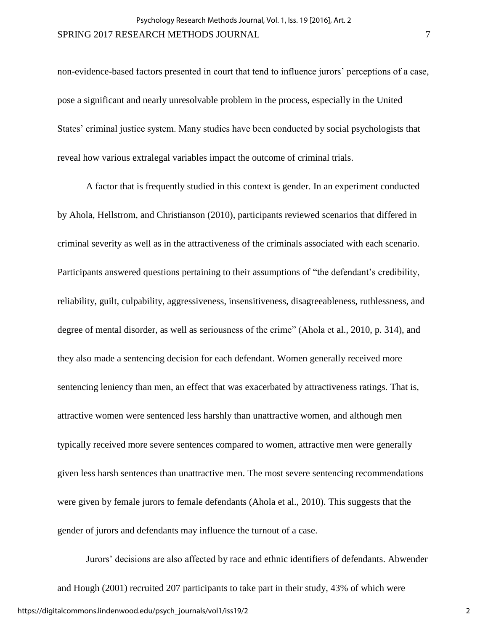non-evidence-based factors presented in court that tend to influence jurors' perceptions of a case, pose a significant and nearly unresolvable problem in the process, especially in the United States' criminal justice system. Many studies have been conducted by social psychologists that reveal how various extralegal variables impact the outcome of criminal trials.

A factor that is frequently studied in this context is gender. In an experiment conducted by Ahola, Hellstrom, and Christianson (2010), participants reviewed scenarios that differed in criminal severity as well as in the attractiveness of the criminals associated with each scenario. Participants answered questions pertaining to their assumptions of "the defendant's credibility, reliability, guilt, culpability, aggressiveness, insensitiveness, disagreeableness, ruthlessness, and degree of mental disorder, as well as seriousness of the crime" (Ahola et al., 2010, p. 314), and they also made a sentencing decision for each defendant. Women generally received more sentencing leniency than men, an effect that was exacerbated by attractiveness ratings. That is, attractive women were sentenced less harshly than unattractive women, and although men typically received more severe sentences compared to women, attractive men were generally given less harsh sentences than unattractive men. The most severe sentencing recommendations were given by female jurors to female defendants (Ahola et al., 2010). This suggests that the gender of jurors and defendants may influence the turnout of a case.

Jurors' decisions are also affected by race and ethnic identifiers of defendants. Abwender and Hough (2001) recruited 207 participants to take part in their study, 43% of which were https://digitalcommons.lindenwood.edu/psych\_journals/vol1/iss19/2

2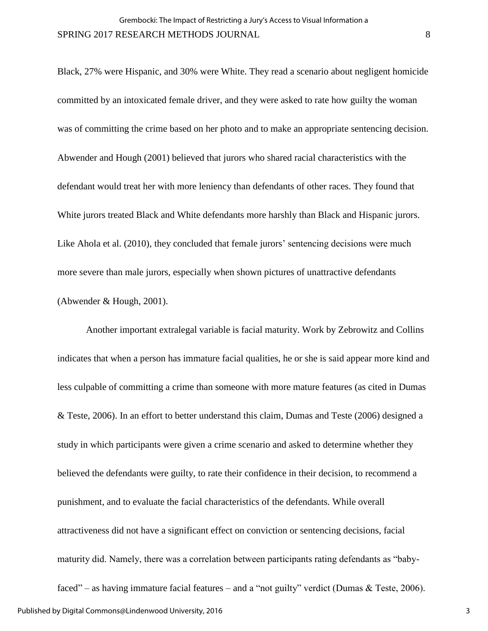Black, 27% were Hispanic, and 30% were White. They read a scenario about negligent homicide committed by an intoxicated female driver, and they were asked to rate how guilty the woman was of committing the crime based on her photo and to make an appropriate sentencing decision. Abwender and Hough (2001) believed that jurors who shared racial characteristics with the defendant would treat her with more leniency than defendants of other races. They found that White jurors treated Black and White defendants more harshly than Black and Hispanic jurors. Like Ahola et al. (2010), they concluded that female jurors' sentencing decisions were much more severe than male jurors, especially when shown pictures of unattractive defendants (Abwender & Hough, 2001).

Another important extralegal variable is facial maturity. Work by Zebrowitz and Collins indicates that when a person has immature facial qualities, he or she is said appear more kind and less culpable of committing a crime than someone with more mature features (as cited in Dumas & Teste, 2006). In an effort to better understand this claim, Dumas and Teste (2006) designed a study in which participants were given a crime scenario and asked to determine whether they believed the defendants were guilty, to rate their confidence in their decision, to recommend a punishment, and to evaluate the facial characteristics of the defendants. While overall attractiveness did not have a significant effect on conviction or sentencing decisions, facial maturity did. Namely, there was a correlation between participants rating defendants as "babyfaced" – as having immature facial features – and a "not guilty" verdict (Dumas & Teste, 2006).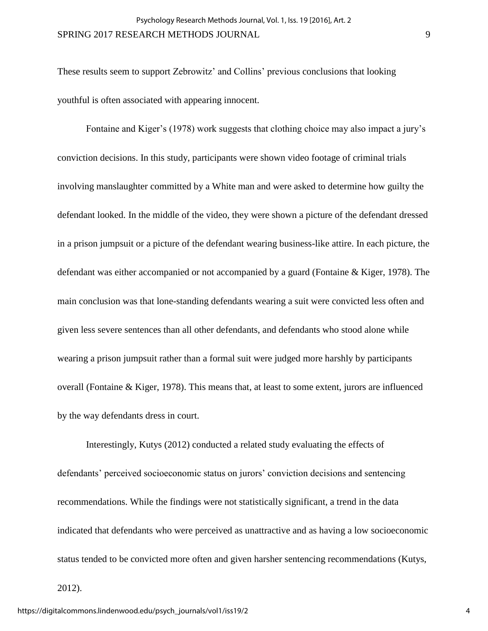These results seem to support Zebrowitz' and Collins' previous conclusions that looking youthful is often associated with appearing innocent.

Fontaine and Kiger's (1978) work suggests that clothing choice may also impact a jury's conviction decisions. In this study, participants were shown video footage of criminal trials involving manslaughter committed by a White man and were asked to determine how guilty the defendant looked. In the middle of the video, they were shown a picture of the defendant dressed in a prison jumpsuit or a picture of the defendant wearing business-like attire. In each picture, the defendant was either accompanied or not accompanied by a guard (Fontaine & Kiger, 1978). The main conclusion was that lone-standing defendants wearing a suit were convicted less often and given less severe sentences than all other defendants, and defendants who stood alone while wearing a prison jumpsuit rather than a formal suit were judged more harshly by participants overall (Fontaine & Kiger, 1978). This means that, at least to some extent, jurors are influenced by the way defendants dress in court.

Interestingly, Kutys (2012) conducted a related study evaluating the effects of defendants' perceived socioeconomic status on jurors' conviction decisions and sentencing recommendations. While the findings were not statistically significant, a trend in the data indicated that defendants who were perceived as unattractive and as having a low socioeconomic status tended to be convicted more often and given harsher sentencing recommendations (Kutys,

2012).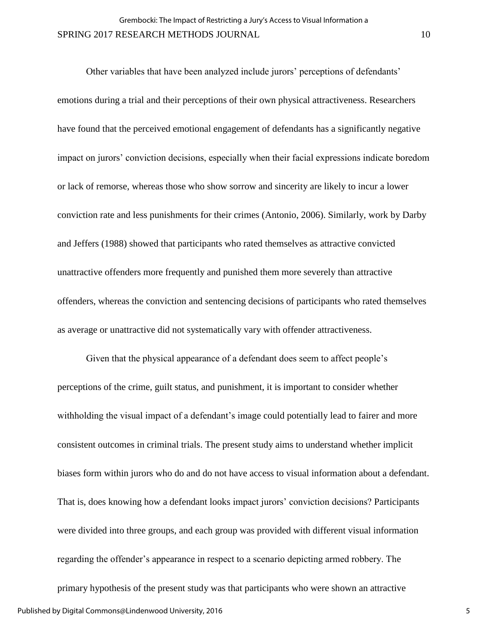Other variables that have been analyzed include jurors' perceptions of defendants' emotions during a trial and their perceptions of their own physical attractiveness. Researchers have found that the perceived emotional engagement of defendants has a significantly negative impact on jurors' conviction decisions, especially when their facial expressions indicate boredom or lack of remorse, whereas those who show sorrow and sincerity are likely to incur a lower conviction rate and less punishments for their crimes (Antonio, 2006). Similarly, work by Darby and Jeffers (1988) showed that participants who rated themselves as attractive convicted unattractive offenders more frequently and punished them more severely than attractive offenders, whereas the conviction and sentencing decisions of participants who rated themselves as average or unattractive did not systematically vary with offender attractiveness.

Given that the physical appearance of a defendant does seem to affect people's perceptions of the crime, guilt status, and punishment, it is important to consider whether withholding the visual impact of a defendant's image could potentially lead to fairer and more consistent outcomes in criminal trials. The present study aims to understand whether implicit biases form within jurors who do and do not have access to visual information about a defendant. That is, does knowing how a defendant looks impact jurors' conviction decisions? Participants were divided into three groups, and each group was provided with different visual information regarding the offender's appearance in respect to a scenario depicting armed robbery. The primary hypothesis of the present study was that participants who were shown an attractive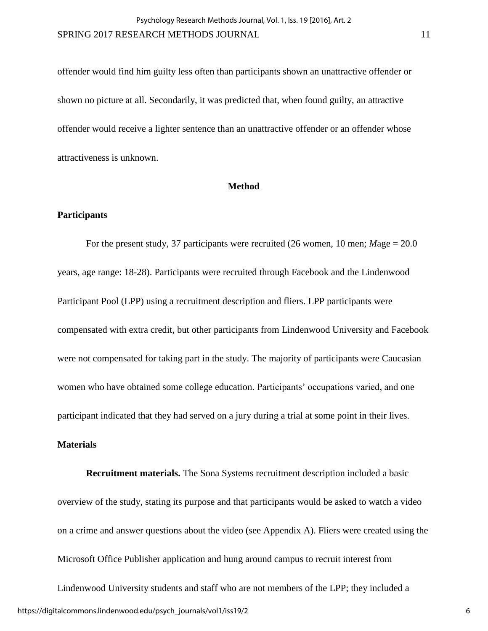offender would find him guilty less often than participants shown an unattractive offender or shown no picture at all. Secondarily, it was predicted that, when found guilty, an attractive offender would receive a lighter sentence than an unattractive offender or an offender whose attractiveness is unknown.

#### **Method**

#### **Participants**

For the present study, 37 participants were recruited (26 women, 10 men; *M*age = 20.0 years, age range: 18-28). Participants were recruited through Facebook and the Lindenwood Participant Pool (LPP) using a recruitment description and fliers. LPP participants were compensated with extra credit, but other participants from Lindenwood University and Facebook were not compensated for taking part in the study. The majority of participants were Caucasian women who have obtained some college education. Participants' occupations varied, and one participant indicated that they had served on a jury during a trial at some point in their lives.

#### **Materials**

**Recruitment materials.** The Sona Systems recruitment description included a basic overview of the study, stating its purpose and that participants would be asked to watch a video on a crime and answer questions about the video (see Appendix A). Fliers were created using the Microsoft Office Publisher application and hung around campus to recruit interest from

Lindenwood University students and staff who are not members of the LPP; they included a https://digitalcommons.lindenwood.edu/psych\_journals/vol1/iss19/2

6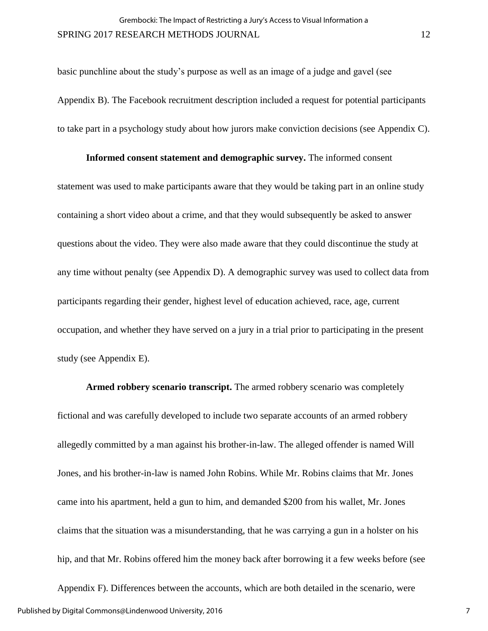basic punchline about the study's purpose as well as an image of a judge and gavel (see Appendix B). The Facebook recruitment description included a request for potential participants to take part in a psychology study about how jurors make conviction decisions (see Appendix C).

#### **Informed consent statement and demographic survey.** The informed consent

statement was used to make participants aware that they would be taking part in an online study containing a short video about a crime, and that they would subsequently be asked to answer questions about the video. They were also made aware that they could discontinue the study at any time without penalty (see Appendix D). A demographic survey was used to collect data from participants regarding their gender, highest level of education achieved, race, age, current occupation, and whether they have served on a jury in a trial prior to participating in the present study (see Appendix E).

**Armed robbery scenario transcript.** The armed robbery scenario was completely fictional and was carefully developed to include two separate accounts of an armed robbery allegedly committed by a man against his brother-in-law. The alleged offender is named Will Jones, and his brother-in-law is named John Robins. While Mr. Robins claims that Mr. Jones came into his apartment, held a gun to him, and demanded \$200 from his wallet, Mr. Jones claims that the situation was a misunderstanding, that he was carrying a gun in a holster on his hip, and that Mr. Robins offered him the money back after borrowing it a few weeks before (see Appendix F). Differences between the accounts, which are both detailed in the scenario, were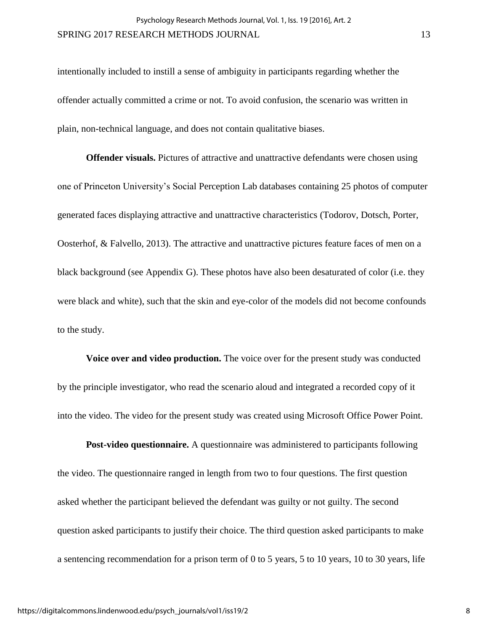intentionally included to instill a sense of ambiguity in participants regarding whether the offender actually committed a crime or not. To avoid confusion, the scenario was written in plain, non-technical language, and does not contain qualitative biases.

**Offender visuals.** Pictures of attractive and unattractive defendants were chosen using one of Princeton University's Social Perception Lab databases containing 25 photos of computer generated faces displaying attractive and unattractive characteristics (Todorov, Dotsch, Porter, Oosterhof, & Falvello, 2013). The attractive and unattractive pictures feature faces of men on a black background (see Appendix G). These photos have also been desaturated of color (i.e. they were black and white), such that the skin and eye-color of the models did not become confounds to the study.

**Voice over and video production.** The voice over for the present study was conducted by the principle investigator, who read the scenario aloud and integrated a recorded copy of it into the video. The video for the present study was created using Microsoft Office Power Point.

**Post-video questionnaire.** A questionnaire was administered to participants following the video. The questionnaire ranged in length from two to four questions. The first question asked whether the participant believed the defendant was guilty or not guilty. The second question asked participants to justify their choice. The third question asked participants to make a sentencing recommendation for a prison term of 0 to 5 years, 5 to 10 years, 10 to 30 years, life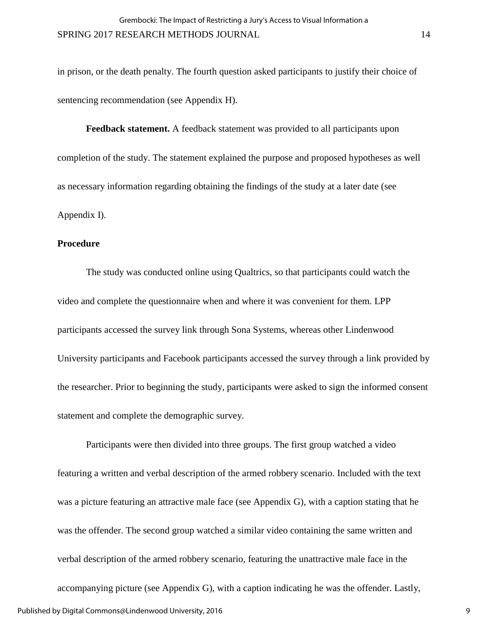in prison, or the death penalty. The fourth question asked participants to justify their choice of sentencing recommendation (see Appendix H).

**Feedback statement.** A feedback statement was provided to all participants upon completion of the study. The statement explained the purpose and proposed hypotheses as well as necessary information regarding obtaining the findings of the study at a later date (see Appendix I).

#### **Procedure**

The study was conducted online using Qualtrics, so that participants could watch the video and complete the questionnaire when and where it was convenient for them. LPP participants accessed the survey link through Sona Systems, whereas other Lindenwood University participants and Facebook participants accessed the survey through a link provided by the researcher. Prior to beginning the study, participants were asked to sign the informed consent statement and complete the demographic survey.

Participants were then divided into three groups. The first group watched a video featuring a written and verbal description of the armed robbery scenario. Included with the text was a picture featuring an attractive male face (see Appendix G), with a caption stating that he was the offender. The second group watched a similar video containing the same written and verbal description of the armed robbery scenario, featuring the unattractive male face in the accompanying picture (see Appendix G), with a caption indicating he was the offender. Lastly,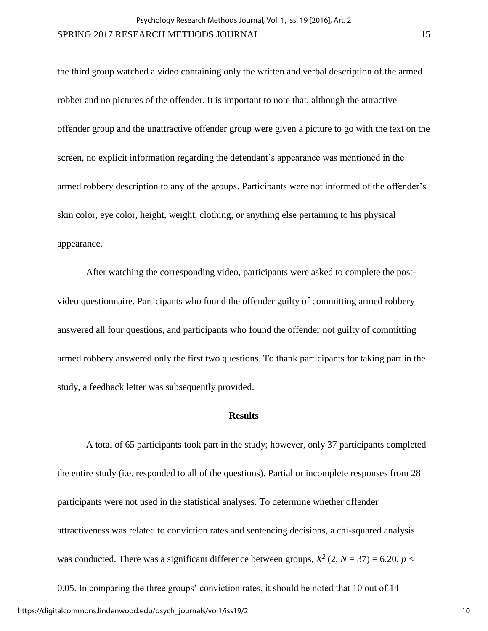the third group watched a video containing only the written and verbal description of the armed robber and no pictures of the offender. It is important to note that, although the attractive offender group and the unattractive offender group were given a picture to go with the text on the screen, no explicit information regarding the defendant's appearance was mentioned in the armed robbery description to any of the groups. Participants were not informed of the offender's skin color, eye color, height, weight, clothing, or anything else pertaining to his physical appearance.

After watching the corresponding video, participants were asked to complete the postvideo questionnaire. Participants who found the offender guilty of committing armed robbery answered all four questions, and participants who found the offender not guilty of committing armed robbery answered only the first two questions. To thank participants for taking part in the study, a feedback letter was subsequently provided.

#### **Results**

A total of 65 participants took part in the study; however, only 37 participants completed the entire study (i.e. responded to all of the questions). Partial or incomplete responses from 28 participants were not used in the statistical analyses. To determine whether offender attractiveness was related to conviction rates and sentencing decisions, a chi-squared analysis was conducted. There was a significant difference between groups,  $X^2$  (2,  $N = 37$ ) = 6.20,  $p$  <

0.05. In comparing the three groups' conviction rates, it should be noted that 10 out of 14 https://digitalcommons.lindenwood.edu/psych\_journals/vol1/iss19/2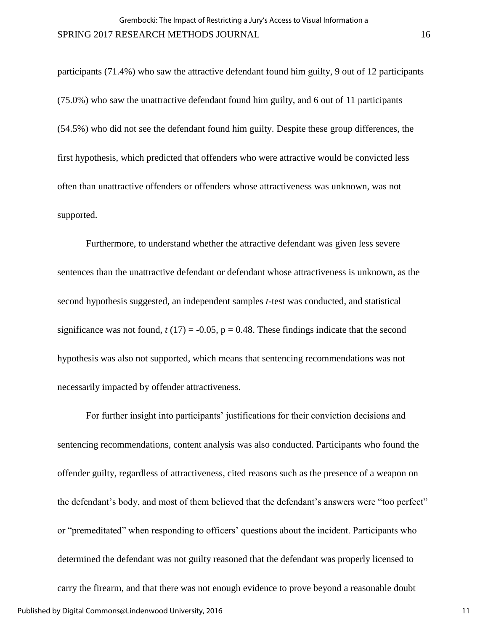participants (71.4%) who saw the attractive defendant found him guilty, 9 out of 12 participants (75.0%) who saw the unattractive defendant found him guilty, and 6 out of 11 participants (54.5%) who did not see the defendant found him guilty. Despite these group differences, the first hypothesis, which predicted that offenders who were attractive would be convicted less often than unattractive offenders or offenders whose attractiveness was unknown, was not supported.

Furthermore, to understand whether the attractive defendant was given less severe sentences than the unattractive defendant or defendant whose attractiveness is unknown, as the second hypothesis suggested, an independent samples *t*-test was conducted, and statistical significance was not found,  $t(17) = -0.05$ ,  $p = 0.48$ . These findings indicate that the second hypothesis was also not supported, which means that sentencing recommendations was not necessarily impacted by offender attractiveness.

For further insight into participants' justifications for their conviction decisions and sentencing recommendations, content analysis was also conducted. Participants who found the offender guilty, regardless of attractiveness, cited reasons such as the presence of a weapon on the defendant's body, and most of them believed that the defendant's answers were "too perfect" or "premeditated" when responding to officers' questions about the incident. Participants who determined the defendant was not guilty reasoned that the defendant was properly licensed to carry the firearm, and that there was not enough evidence to prove beyond a reasonable doubt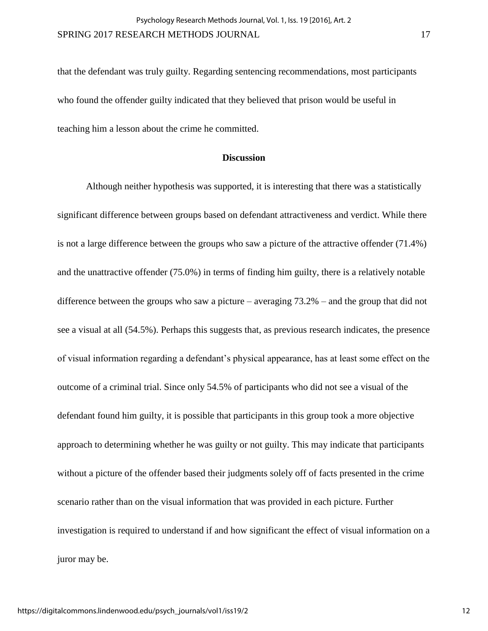that the defendant was truly guilty. Regarding sentencing recommendations, most participants who found the offender guilty indicated that they believed that prison would be useful in teaching him a lesson about the crime he committed.

#### **Discussion**

 Although neither hypothesis was supported, it is interesting that there was a statistically significant difference between groups based on defendant attractiveness and verdict. While there is not a large difference between the groups who saw a picture of the attractive offender (71.4%) and the unattractive offender (75.0%) in terms of finding him guilty, there is a relatively notable difference between the groups who saw a picture – averaging 73.2% – and the group that did not see a visual at all (54.5%). Perhaps this suggests that, as previous research indicates, the presence of visual information regarding a defendant's physical appearance, has at least some effect on the outcome of a criminal trial. Since only 54.5% of participants who did not see a visual of the defendant found him guilty, it is possible that participants in this group took a more objective approach to determining whether he was guilty or not guilty. This may indicate that participants without a picture of the offender based their judgments solely off of facts presented in the crime scenario rather than on the visual information that was provided in each picture. Further investigation is required to understand if and how significant the effect of visual information on a juror may be.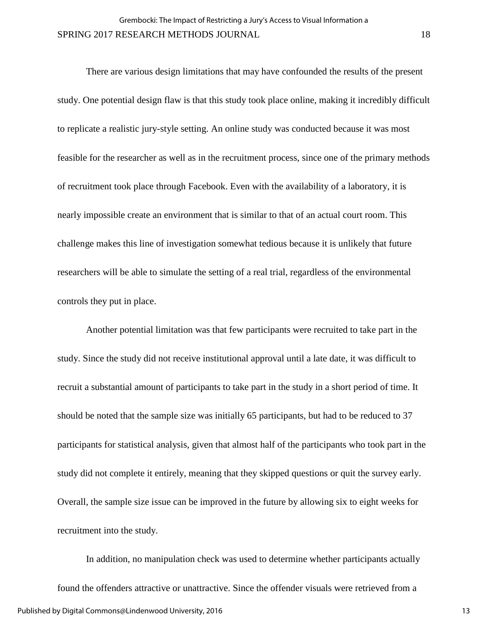There are various design limitations that may have confounded the results of the present study. One potential design flaw is that this study took place online, making it incredibly difficult to replicate a realistic jury-style setting. An online study was conducted because it was most feasible for the researcher as well as in the recruitment process, since one of the primary methods of recruitment took place through Facebook. Even with the availability of a laboratory, it is nearly impossible create an environment that is similar to that of an actual court room. This challenge makes this line of investigation somewhat tedious because it is unlikely that future researchers will be able to simulate the setting of a real trial, regardless of the environmental controls they put in place.

Another potential limitation was that few participants were recruited to take part in the study. Since the study did not receive institutional approval until a late date, it was difficult to recruit a substantial amount of participants to take part in the study in a short period of time. It should be noted that the sample size was initially 65 participants, but had to be reduced to 37 participants for statistical analysis, given that almost half of the participants who took part in the study did not complete it entirely, meaning that they skipped questions or quit the survey early. Overall, the sample size issue can be improved in the future by allowing six to eight weeks for recruitment into the study.

In addition, no manipulation check was used to determine whether participants actually found the offenders attractive or unattractive. Since the offender visuals were retrieved from a Published by Digital Commons@Lindenwood University, 2016

13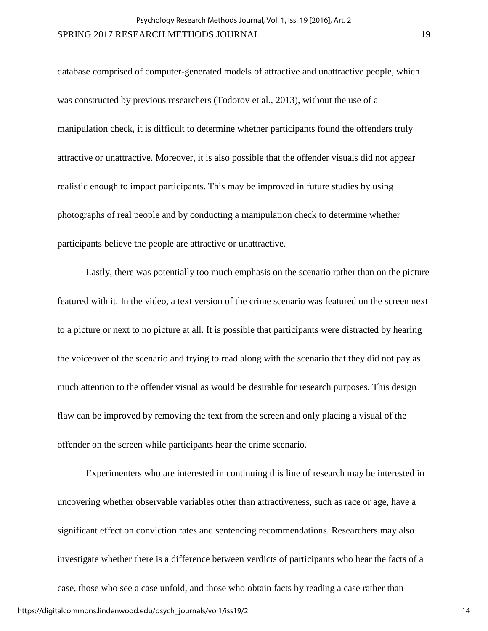database comprised of computer-generated models of attractive and unattractive people, which was constructed by previous researchers (Todorov et al., 2013), without the use of a manipulation check, it is difficult to determine whether participants found the offenders truly attractive or unattractive. Moreover, it is also possible that the offender visuals did not appear realistic enough to impact participants. This may be improved in future studies by using photographs of real people and by conducting a manipulation check to determine whether participants believe the people are attractive or unattractive.

Lastly, there was potentially too much emphasis on the scenario rather than on the picture featured with it. In the video, a text version of the crime scenario was featured on the screen next to a picture or next to no picture at all. It is possible that participants were distracted by hearing the voiceover of the scenario and trying to read along with the scenario that they did not pay as much attention to the offender visual as would be desirable for research purposes. This design flaw can be improved by removing the text from the screen and only placing a visual of the offender on the screen while participants hear the crime scenario.

Experimenters who are interested in continuing this line of research may be interested in uncovering whether observable variables other than attractiveness, such as race or age, have a significant effect on conviction rates and sentencing recommendations. Researchers may also investigate whether there is a difference between verdicts of participants who hear the facts of a case, those who see a case unfold, and those who obtain facts by reading a case rather than https://digitalcommons.lindenwood.edu/psych\_journals/vol1/iss19/2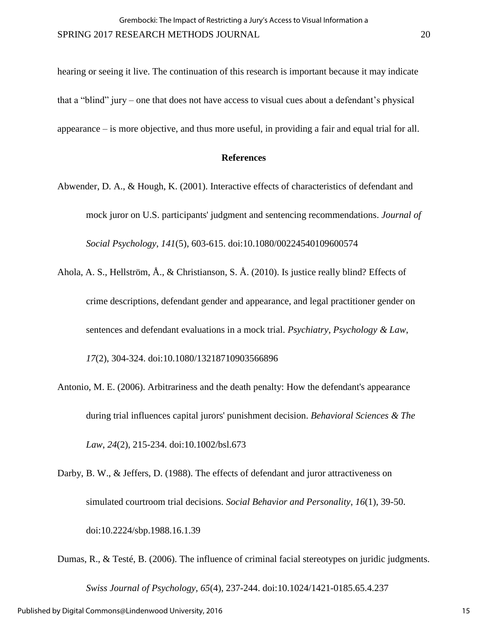hearing or seeing it live. The continuation of this research is important because it may indicate that a "blind" jury – one that does not have access to visual cues about a defendant's physical appearance – is more objective, and thus more useful, in providing a fair and equal trial for all.

#### **References**

- Abwender, D. A., & Hough, K. (2001). Interactive effects of characteristics of defendant and mock juror on U.S. participants' judgment and sentencing recommendations. *Journal of Social Psychology*, *141*(5), 603-615. doi:10.1080/00224540109600574
- Ahola, A. S., Hellström, Å., & Christianson, S. Å. (2010). Is justice really blind? Effects of crime descriptions, defendant gender and appearance, and legal practitioner gender on sentences and defendant evaluations in a mock trial. *Psychiatry, Psychology & Law*, *17*(2), 304-324. doi:10.1080/13218710903566896
- Antonio, M. E. (2006). Arbitrariness and the death penalty: How the defendant's appearance during trial influences capital jurors' punishment decision. *Behavioral Sciences & The Law*, *24*(2), 215-234. doi:10.1002/bsl.673
- Darby, B. W., & Jeffers, D. (1988). The effects of defendant and juror attractiveness on simulated courtroom trial decisions. *Social Behavior and Personality*, *16*(1), 39-50. doi:10.2224/sbp.1988.16.1.39
- Dumas, R., & Testé, B. (2006). The influence of criminal facial stereotypes on juridic judgments. *Swiss Journal of Psychology, 65*(4), 237-244. doi:10.1024/1421-0185.65.4.237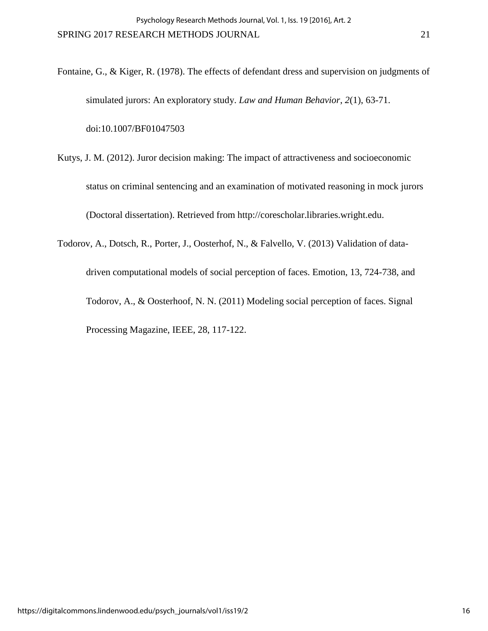Fontaine, G., & Kiger, R. (1978). The effects of defendant dress and supervision on judgments of simulated jurors: An exploratory study. *Law and Human Behavior*, *2*(1), 63-71. doi:10.1007/BF01047503

Kutys, J. M. (2012). Juror decision making: The impact of attractiveness and socioeconomic status on criminal sentencing and an examination of motivated reasoning in mock jurors (Doctoral dissertation). Retrieved from http://corescholar.libraries.wright.edu.

Todorov, A., Dotsch, R., Porter, J., Oosterhof, N., & Falvello, V. (2013) Validation of datadriven computational models of social perception of faces. Emotion, 13, 724-738, and Todorov, A., & Oosterhoof, N. N. (2011) Modeling social perception of faces. Signal Processing Magazine, IEEE, 28, 117-122.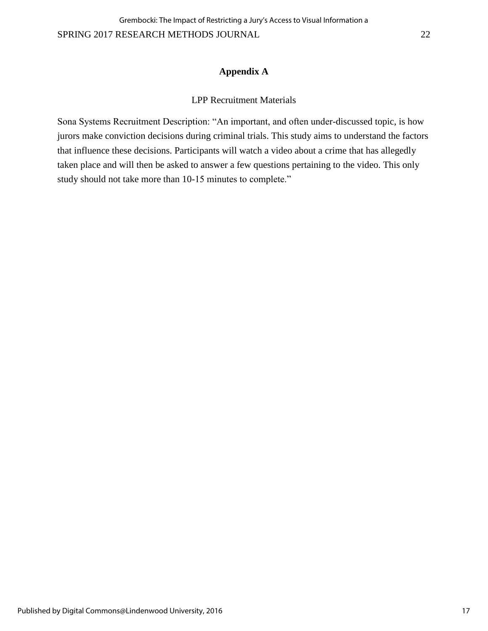#### **Appendix A**

#### LPP Recruitment Materials

Sona Systems Recruitment Description: "An important, and often under-discussed topic, is how jurors make conviction decisions during criminal trials. This study aims to understand the factors that influence these decisions. Participants will watch a video about a crime that has allegedly taken place and will then be asked to answer a few questions pertaining to the video. This only study should not take more than 10-15 minutes to complete."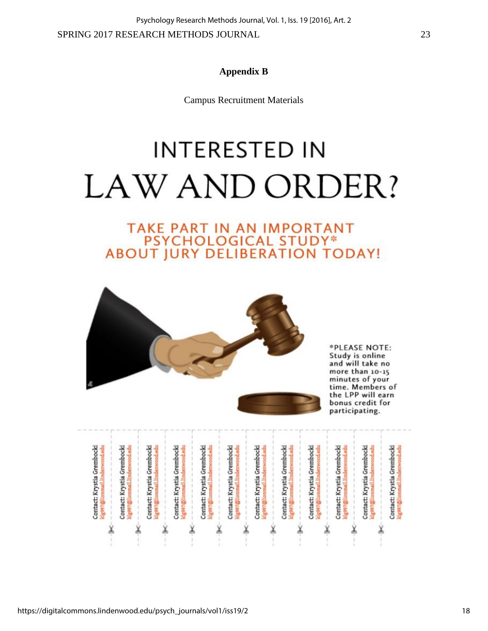Campus Recruitment Materials

# **INTERESTED IN** LAW AND ORDER?

# TAKE PART IN AN IMPORTANT **PSYCHOLOGICAL STUDY\***<br>ABOUT JURY DELIBERATION TODAY!



\*PLEASE NOTE: Study is online and will take no more than 10-15 minutes of your time. Members of the LPP will earn bonus credit for participating.

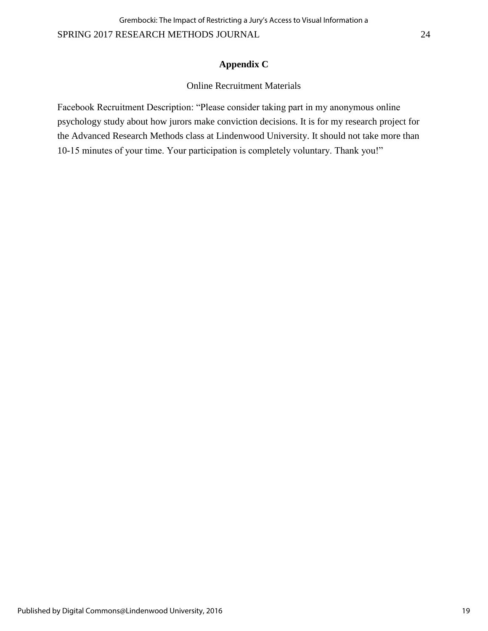#### **Appendix C**

#### Online Recruitment Materials

Facebook Recruitment Description: "Please consider taking part in my anonymous online psychology study about how jurors make conviction decisions. It is for my research project for the Advanced Research Methods class at Lindenwood University. It should not take more than 10-15 minutes of your time. Your participation is completely voluntary. Thank you!"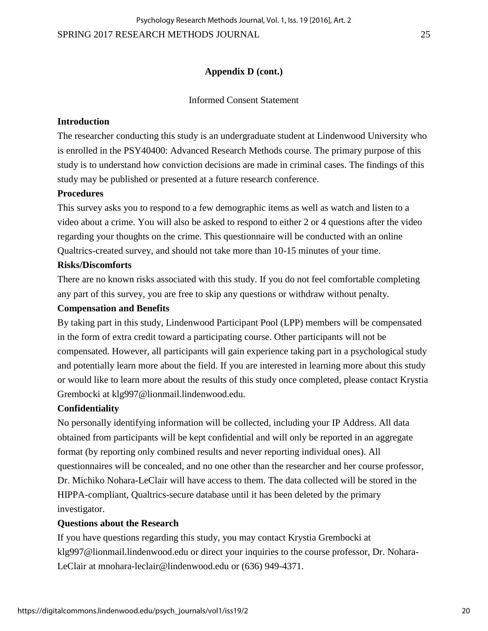Psychology Research Methods Journal, Vol. 1, Iss. 19 [2016], Art. 2

SPRING 2017 RESEARCH METHODS JOURNAL 25

#### **Appendix D (cont.)**

#### Informed Consent Statement

#### **Introduction**

The researcher conducting this study is an undergraduate student at Lindenwood University who is enrolled in the PSY40400: Advanced Research Methods course. The primary purpose of this study is to understand how conviction decisions are made in criminal cases. The findings of this study may be published or presented at a future research conference.

#### **Procedures**

This survey asks you to respond to a few demographic items as well as watch and listen to a video about a crime. You will also be asked to respond to either 2 or 4 questions after the video regarding your thoughts on the crime. This questionnaire will be conducted with an online Qualtrics-created survey, and should not take more than 10-15 minutes of your time.

#### **Risks/Discomforts**

There are no known risks associated with this study. If you do not feel comfortable completing any part of this survey, you are free to skip any questions or withdraw without penalty.

#### **Compensation and Benefits**

By taking part in this study, Lindenwood Participant Pool (LPP) members will be compensated in the form of extra credit toward a participating course. Other participants will not be compensated. However, all participants will gain experience taking part in a psychological study and potentially learn more about the field. If you are interested in learning more about this study or would like to learn more about the results of this study once completed, please contact Krystia Grembocki at klg997@lionmail.lindenwood.edu.

#### **Confidentiality**

No personally identifying information will be collected, including your IP Address. All data obtained from participants will be kept confidential and will only be reported in an aggregate format (by reporting only combined results and never reporting individual ones). All questionnaires will be concealed, and no one other than the researcher and her course professor, Dr. Michiko Nohara-LeClair will have access to them. The data collected will be stored in the HIPPA-compliant, Qualtrics-secure database until it has been deleted by the primary investigator.

#### **Questions about the Research**

If you have questions regarding this study, you may contact Krystia Grembocki at klg997@lionmail.lindenwood.edu or direct your inquiries to the course professor, Dr. Nohara-LeClair at mnohara-leclair@lindenwood.edu or (636) 949-4371.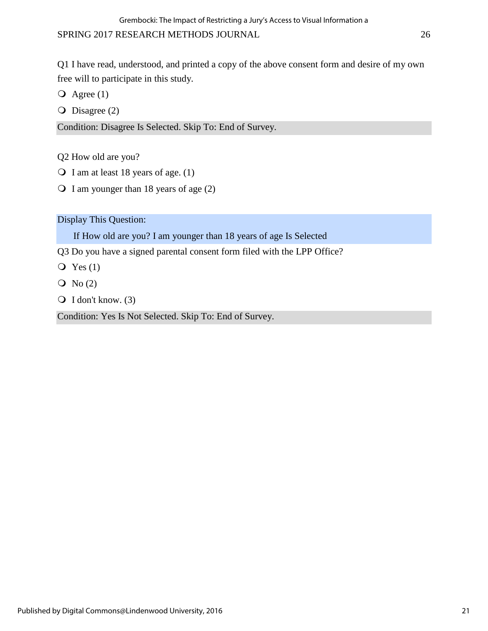Q1 I have read, understood, and printed a copy of the above consent form and desire of my own free will to participate in this study.

 $\overline{Q}$  Agree (1)

 $\overline{O}$  Disagree (2)

Condition: Disagree Is Selected. Skip To: End of Survey.

Q2 How old are you?

- $\bigcirc$  I am at least 18 years of age. (1)
- $\bigcirc$  I am younger than 18 years of age (2)

Display This Question:

If How old are you? I am younger than 18 years of age Is Selected

Q3 Do you have a signed parental consent form filed with the LPP Office?

- $\overline{Q}$  Yes (1)
- $\overline{O}$  No (2)
- $\bigcirc$  I don't know. (3)

Condition: Yes Is Not Selected. Skip To: End of Survey.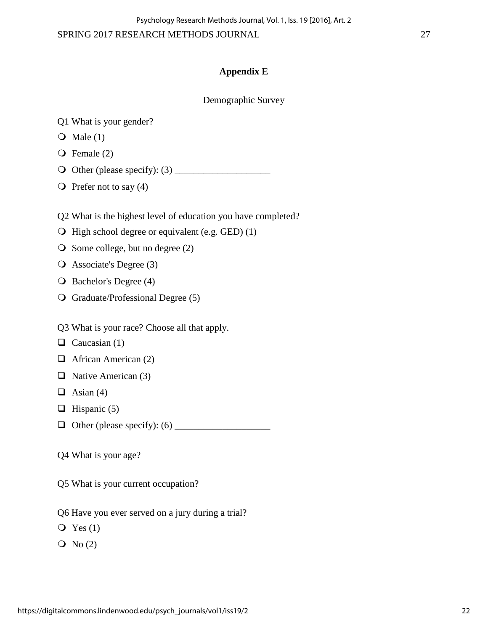#### SPRING 2017 RESEARCH METHODS JOURNAL 27

#### **Appendix E**

Demographic Survey

- Q1 What is your gender?
- $\bigcirc$  Male (1)
- $\overline{Q}$  Female (2)
- $\bigcirc$  Other (please specify): (3)
- $\bigcirc$  Prefer not to say (4)
- Q2 What is the highest level of education you have completed?
- $\Theta$  High school degree or equivalent (e.g. GED) (1)
- $\bigcirc$  Some college, but no degree (2)
- Associate's Degree (3)
- Q Bachelor's Degree (4)
- Graduate/Professional Degree (5)
- Q3 What is your race? Choose all that apply.
- $\Box$  Caucasian (1)
- $\Box$  African American (2)
- $\Box$  Native American (3)
- $\Box$  Asian (4)
- $\Box$  Hispanic (5)
- Other (please specify): (6) \_\_\_\_\_\_\_\_\_\_\_\_\_\_\_\_\_\_\_\_
- Q4 What is your age?
- Q5 What is your current occupation?
- Q6 Have you ever served on a jury during a trial?
- $Q$  Yes  $(1)$
- $\overline{Q}$  No (2)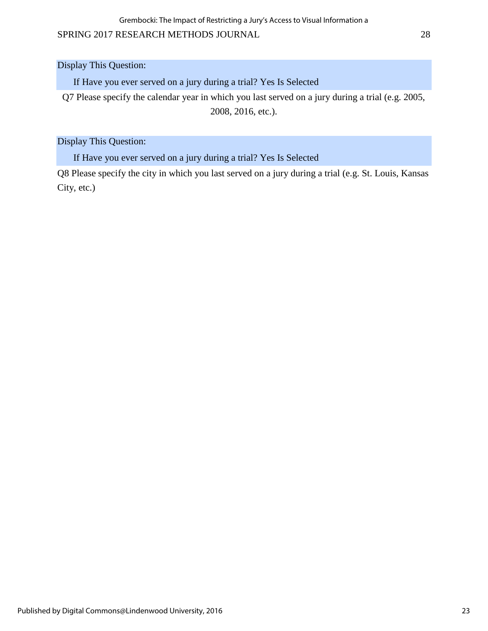Grembocki: The Impact of Restricting a Jury's Access to Visual Information a

#### SPRING 2017 RESEARCH METHODS JOURNAL 28

Display This Question:

If Have you ever served on a jury during a trial? Yes Is Selected

Q7 Please specify the calendar year in which you last served on a jury during a trial (e.g. 2005, 2008, 2016, etc.).

Display This Question:

If Have you ever served on a jury during a trial? Yes Is Selected

Q8 Please specify the city in which you last served on a jury during a trial (e.g. St. Louis, Kansas City, etc.)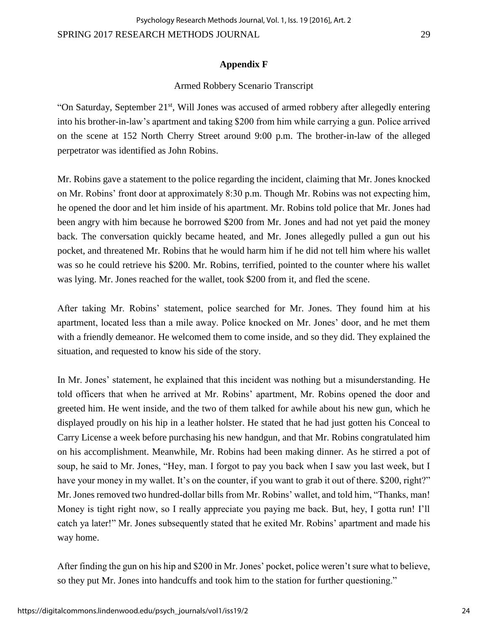#### **Appendix F**

Psychology Research Methods Journal, Vol. 1, Iss. 19 [2016], Art. 2

#### Armed Robbery Scenario Transcript

"On Saturday, September 21<sup>st</sup>, Will Jones was accused of armed robbery after allegedly entering into his brother-in-law's apartment and taking \$200 from him while carrying a gun. Police arrived on the scene at 152 North Cherry Street around 9:00 p.m. The brother-in-law of the alleged perpetrator was identified as John Robins.

Mr. Robins gave a statement to the police regarding the incident, claiming that Mr. Jones knocked on Mr. Robins' front door at approximately 8:30 p.m. Though Mr. Robins was not expecting him, he opened the door and let him inside of his apartment. Mr. Robins told police that Mr. Jones had been angry with him because he borrowed \$200 from Mr. Jones and had not yet paid the money back. The conversation quickly became heated, and Mr. Jones allegedly pulled a gun out his pocket, and threatened Mr. Robins that he would harm him if he did not tell him where his wallet was so he could retrieve his \$200. Mr. Robins, terrified, pointed to the counter where his wallet was lying. Mr. Jones reached for the wallet, took \$200 from it, and fled the scene.

After taking Mr. Robins' statement, police searched for Mr. Jones. They found him at his apartment, located less than a mile away. Police knocked on Mr. Jones' door, and he met them with a friendly demeanor. He welcomed them to come inside, and so they did. They explained the situation, and requested to know his side of the story.

In Mr. Jones' statement, he explained that this incident was nothing but a misunderstanding. He told officers that when he arrived at Mr. Robins' apartment, Mr. Robins opened the door and greeted him. He went inside, and the two of them talked for awhile about his new gun, which he displayed proudly on his hip in a leather holster. He stated that he had just gotten his Conceal to Carry License a week before purchasing his new handgun, and that Mr. Robins congratulated him on his accomplishment. Meanwhile, Mr. Robins had been making dinner. As he stirred a pot of soup, he said to Mr. Jones, "Hey, man. I forgot to pay you back when I saw you last week, but I have your money in my wallet. It's on the counter, if you want to grab it out of there. \$200, right?" Mr. Jones removed two hundred-dollar bills from Mr. Robins' wallet, and told him, "Thanks, man! Money is tight right now, so I really appreciate you paying me back. But, hey, I gotta run! I'll catch ya later!" Mr. Jones subsequently stated that he exited Mr. Robins' apartment and made his way home.

After finding the gun on his hip and \$200 in Mr. Jones' pocket, police weren't sure what to believe, so they put Mr. Jones into handcuffs and took him to the station for further questioning."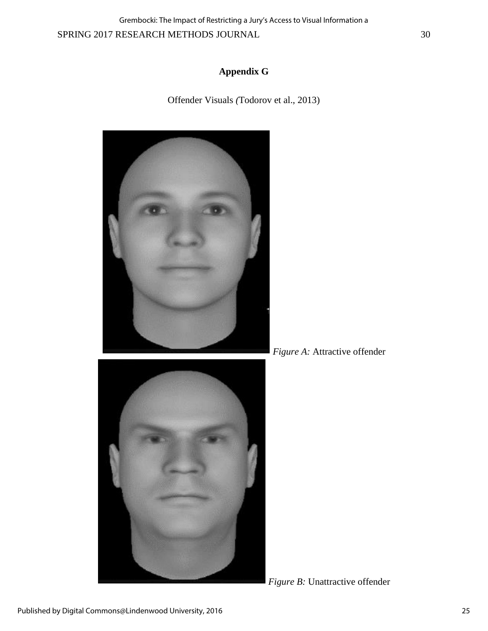SPRING 2017 RESEARCH METHODS JOURNAL 30 Grembocki: The Impact of Restricting a Jury's Access to Visual Information a

#### **Appendix G**

Offender Visuals *(*Todorov et al., 2013)





*Figure A:* Attractive offender

*Figure B:* Unattractive offender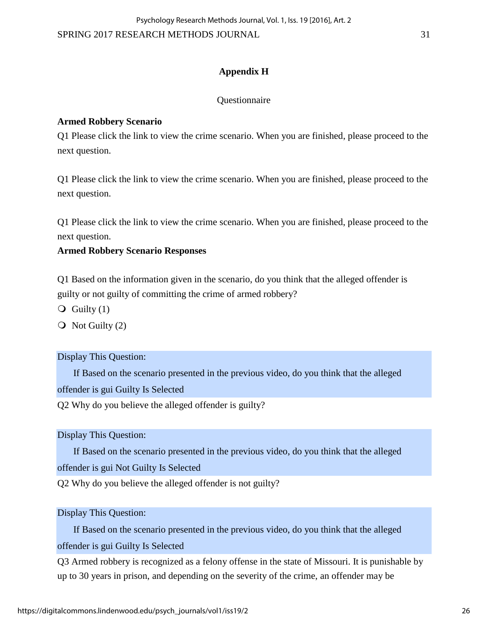SPRING 2017 RESEARCH METHODS JOURNAL 31

#### **Appendix H**

#### Questionnaire

#### **Armed Robbery Scenario**

Q1 Please click the link to view the crime scenario. When you are finished, please proceed to the next question.

Q1 Please click the link to view the crime scenario. When you are finished, please proceed to the next question.

Q1 Please click the link to view the crime scenario. When you are finished, please proceed to the next question.

#### **Armed Robbery Scenario Responses**

Q1 Based on the information given in the scenario, do you think that the alleged offender is guilty or not guilty of committing the crime of armed robbery?

 $\overline{Q}$  Guilty (1)

 $\overline{Q}$  Not Guilty (2)

#### Display This Question:

If Based on the scenario presented in the previous video, do you think that the alleged offender is gui Guilty Is Selected

Q2 Why do you believe the alleged offender is guilty?

Display This Question:

If Based on the scenario presented in the previous video, do you think that the alleged offender is gui Not Guilty Is Selected

Q2 Why do you believe the alleged offender is not guilty?

Display This Question:

If Based on the scenario presented in the previous video, do you think that the alleged offender is gui Guilty Is Selected

Q3 Armed robbery is recognized as a felony offense in the state of Missouri. It is punishable by up to 30 years in prison, and depending on the severity of the crime, an offender may be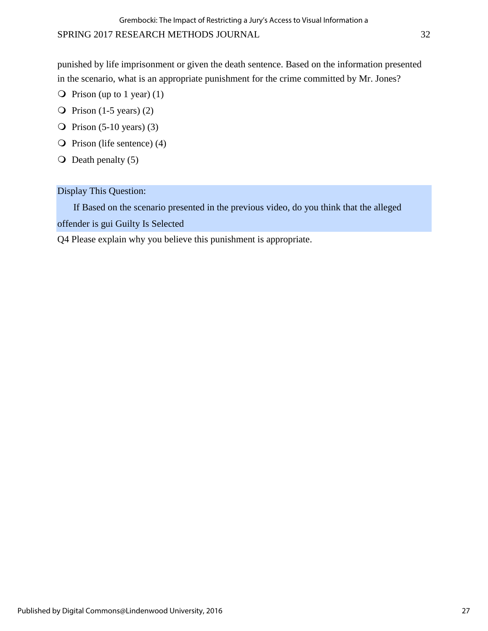punished by life imprisonment or given the death sentence. Based on the information presented in the scenario, what is an appropriate punishment for the crime committed by Mr. Jones?

- $\bigcirc$  Prison (up to 1 year) (1)
- $\overline{Q}$  Prison (1-5 years) (2)
- $\overline{Q}$  Prison (5-10 years) (3)
- $\overline{Q}$  Prison (life sentence) (4)
- $\overline{O}$  Death penalty (5)

Display This Question:

If Based on the scenario presented in the previous video, do you think that the alleged offender is gui Guilty Is Selected

Q4 Please explain why you believe this punishment is appropriate.